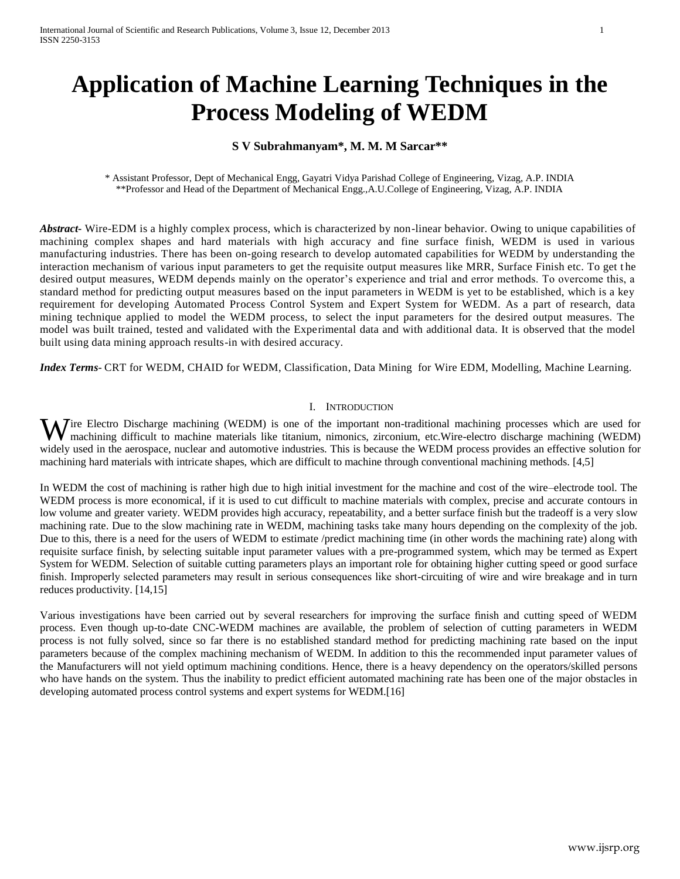# **Application of Machine Learning Techniques in the Process Modeling of WEDM**

## **S V Subrahmanyam\*, M. M. M Sarcar\*\***

\* Assistant Professor, Dept of Mechanical Engg, Gayatri Vidya Parishad College of Engineering, Vizag, A.P. INDIA \*\*Professor and Head of the Department of Mechanical Engg.,A.U.College of Engineering, Vizag, A.P. INDIA

*Abstract***-** Wire-EDM is a highly complex process, which is characterized by non-linear behavior. Owing to unique capabilities of machining complex shapes and hard materials with high accuracy and fine surface finish, WEDM is used in various manufacturing industries. There has been on-going research to develop automated capabilities for WEDM by understanding the interaction mechanism of various input parameters to get the requisite output measures like MRR, Surface Finish etc. To get t he desired output measures, WEDM depends mainly on the operator's experience and trial and error methods. To overcome this, a standard method for predicting output measures based on the input parameters in WEDM is yet to be established, which is a key requirement for developing Automated Process Control System and Expert System for WEDM. As a part of research, data mining technique applied to model the WEDM process, to select the input parameters for the desired output measures. The model was built trained, tested and validated with the Experimental data and with additional data. It is observed that the model built using data mining approach results-in with desired accuracy.

*Index Terms*- CRT for WEDM, CHAID for WEDM, Classification, Data Mining for Wire EDM, Modelling, Machine Learning.

## I. INTRODUCTION

ire Electro Discharge machining (WEDM) is one of the important non-traditional machining processes which are used for Wire Electro Discharge machining (WEDM) is one of the important non-traditional machining processes which are used for machining difficult to machine materials like titanium, nimonics, zirconium, etc.Wire-electro discharge widely used in the aerospace, nuclear and automotive industries. This is because the WEDM process provides an effective solution for machining hard materials with intricate shapes, which are difficult to machine through conventional machining methods. [4,5]

In WEDM the cost of machining is rather high due to high initial investment for the machine and cost of the wire–electrode tool. The WEDM process is more economical, if it is used to cut difficult to machine materials with complex, precise and accurate contours in low volume and greater variety. WEDM provides high accuracy, repeatability, and a better surface finish but the tradeoff is a very slow machining rate. Due to the slow machining rate in WEDM, machining tasks take many hours depending on the complexity of the job. Due to this, there is a need for the users of WEDM to estimate /predict machining time (in other words the machining rate) along with requisite surface finish, by selecting suitable input parameter values with a pre-programmed system, which may be termed as Expert System for WEDM. Selection of suitable cutting parameters plays an important role for obtaining higher cutting speed or good surface finish. Improperly selected parameters may result in serious consequences like short-circuiting of wire and wire breakage and in turn reduces productivity. [14,15]

Various investigations have been carried out by several researchers for improving the surface finish and cutting speed of WEDM process. Even though up-to-date CNC-WEDM machines are available, the problem of selection of cutting parameters in WEDM process is not fully solved, since so far there is no established standard method for predicting machining rate based on the input parameters because of the complex machining mechanism of WEDM. In addition to this the recommended input parameter values of the Manufacturers will not yield optimum machining conditions. Hence, there is a heavy dependency on the operators/skilled persons who have hands on the system. Thus the inability to predict efficient automated machining rate has been one of the major obstacles in developing automated process control systems and expert systems for WEDM.[16]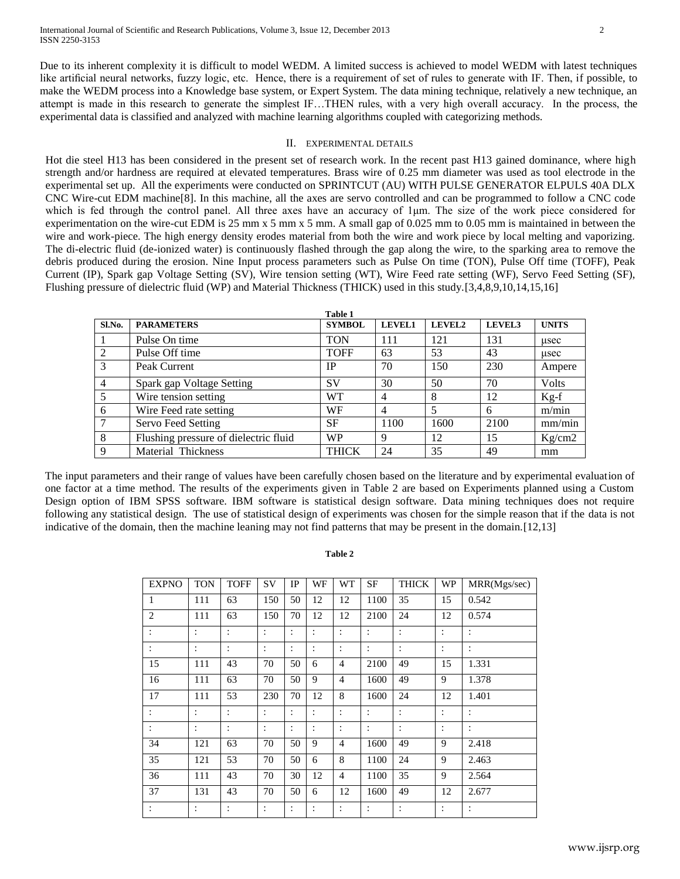Due to its inherent complexity it is difficult to model WEDM. A limited success is achieved to model WEDM with latest techniques like artificial neural networks, fuzzy logic, etc. Hence, there is a requirement of set of rules to generate with IF. Then, if possible, to make the WEDM process into a Knowledge base system, or Expert System. The data mining technique, relatively a new technique, an attempt is made in this research to generate the simplest IF…THEN rules, with a very high overall accuracy. In the process, the experimental data is classified and analyzed with machine learning algorithms coupled with categorizing methods.

#### II. EXPERIMENTAL DETAILS

Hot die steel H13 has been considered in the present set of research work. In the recent past H13 gained dominance, where high strength and/or hardness are required at elevated temperatures. Brass wire of 0.25 mm diameter was used as tool electrode in the experimental set up. All the experiments were conducted on SPRINTCUT (AU) WITH PULSE GENERATOR ELPULS 40A DLX CNC Wire-cut EDM machine[8]. In this machine, all the axes are servo controlled and can be programmed to follow a CNC code which is fed through the control panel. All three axes have an accuracy of 1<sup>um.</sup> The size of the work piece considered for experimentation on the wire-cut EDM is 25 mm x 5 mm x 5 mm. A small gap of 0.025 mm to 0.05 mm is maintained in between the wire and work-piece. The high energy density erodes material from both the wire and work piece by local melting and vaporizing. The di-electric fluid (de-ionized water) is continuously flashed through the gap along the wire, to the sparking area to remove the debris produced during the erosion. Nine Input process parameters such as Pulse On time (TON), Pulse Off time (TOFF), Peak Current (IP), Spark gap Voltage Setting (SV), Wire tension setting (WT), Wire Feed rate setting (WF), Servo Feed Setting (SF), Flushing pressure of dielectric fluid (WP) and Material Thickness (THICK) used in this study.[3,4,8,9,10,14,15,16]

|                |                                       | Table 1       |               |                    |               |              |
|----------------|---------------------------------------|---------------|---------------|--------------------|---------------|--------------|
| Sl.No.         | <b>PARAMETERS</b>                     | <b>SYMBOL</b> | <b>LEVEL1</b> | LEVEL <sub>2</sub> | <b>LEVEL3</b> | <b>UNITS</b> |
|                | Pulse On time                         | <b>TON</b>    | 111           | 121                | 131           | usec         |
| 2              | Pulse Off time                        | <b>TOFF</b>   | 63            | 53                 | 43            | usec         |
| 3              | Peak Current                          | <b>IP</b>     | 70            | 150                | 230           | Ampere       |
| $\overline{4}$ | Spark gap Voltage Setting             | <b>SV</b>     | 30            | 50                 | 70            | Volts        |
| 5              | Wire tension setting                  | WТ            | 4             | 8                  | 12            | $Kg-f$       |
| 6              | Wire Feed rate setting                | WF            | 4             |                    | 6             | m/min        |
|                | Servo Feed Setting                    | <b>SF</b>     | 1100          | 1600               | 2100          | mm/min       |
| 8              | Flushing pressure of dielectric fluid | <b>WP</b>     | 9             | 12                 | 15            | Kg/cm2       |
| 9              | Material Thickness                    | <b>THICK</b>  | 24            | 35                 | 49            | mm           |

The input parameters and their range of values have been carefully chosen based on the literature and by experimental evaluation of one factor at a time method. The results of the experiments given in Table 2 are based on Experiments planned using a Custom Design option of IBM SPSS software. IBM software is statistical design software. Data mining techniques does not require following any statistical design. The use of statistical design of experiments was chosen for the simple reason that if the data is not indicative of the domain, then the machine leaning may not find patterns that may be present in the domain.[12,13]

## **Table 2**

| <b>EXPNO</b>   | <b>TON</b>     | <b>TOFF</b>    | SV             | IP             | WF             | WT             | SF             | THICK          | <b>WP</b>      | MRR(Mgs/sec)         |
|----------------|----------------|----------------|----------------|----------------|----------------|----------------|----------------|----------------|----------------|----------------------|
| 1              | 111            | 63             | 150            | 50             | 12             | 12             | 1100           | 35             | 15             | 0.542                |
| $\mathbf{2}$   | 111            | 63             | 150            | 70             | 12             | 12             | 2100           | 24             | 12             | 0.574                |
| $\ddot{\cdot}$ | $\ddot{\cdot}$ | $\ddot{\cdot}$ | :              | $\ddot{\cdot}$ | $\ddot{\cdot}$ | $\ddot{\cdot}$ | $\ddot{\cdot}$ | $\ddot{\cdot}$ | $\ddot{\cdot}$ | $\ddot{\cdot}$       |
| $\ddot{\cdot}$ | $\ddot{\cdot}$ | :              | $\ddot{\cdot}$ | $\ddot{\cdot}$ | $\ddot{\cdot}$ | $\ddot{\cdot}$ | $\ddot{\cdot}$ | $\ddot{\cdot}$ | $\ddot{\cdot}$ | $\ddot{\cdot}$       |
| 15             | 111            | 43             | 70             | 50             | 6              | $\overline{4}$ | 2100           | 49             | 15             | 1.331                |
| 16             | 111            | 63             | 70             | 50             | 9              | $\overline{4}$ | 1600           | 49             | 9              | 1.378                |
| 17             | 111            | 53             | 230            | 70             | 12             | 8              | 1600           | 24             | 12             | 1.401                |
| $\ddot{\cdot}$ | $\ddot{\cdot}$ | :              | $\ddot{\cdot}$ | $\ddot{\cdot}$ | $\ddot{\cdot}$ | $\ddot{\cdot}$ | $\ddot{\cdot}$ | $\ddot{\cdot}$ | $\ddot{\cdot}$ | $\ddot{\cdot}$       |
| $\ddot{\cdot}$ | $\ddot{\cdot}$ | :              | $\ddot{\cdot}$ | $\ddot{\cdot}$ | $\ddot{\cdot}$ | $\ddot{\cdot}$ |                | ٠              | $\bullet$      | $\ddot{\phantom{a}}$ |
| 34             | 121            | 63             | 70             | 50             | 9              | $\overline{4}$ | 1600           | 49             | 9              | 2.418                |
| 35             | 121            | 53             | 70             | 50             | 6              | 8              | 1100           | 24             | 9              | 2.463                |
| 36             | 111            | 43             | 70             | 30             | 12             | $\overline{4}$ | 1100           | 35             | 9              | 2.564                |
| 37             | 131            | 43             | 70             | 50             | 6              | 12             | 1600           | 49             | 12             | 2.677                |
| :              | $\ddot{\cdot}$ | :              | $\ddot{\cdot}$ | ÷              | :              | :              | $\ddot{\cdot}$ |                | $\ddot{\cdot}$ | $\ddot{\cdot}$       |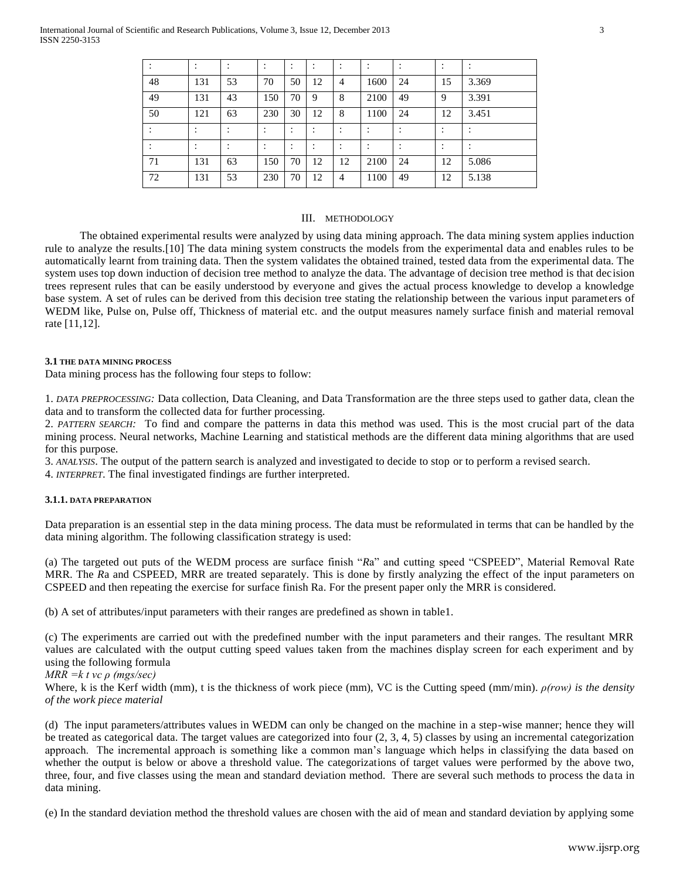|    |           |    | ٠<br>$\cdot$         | $\bullet$          | $\blacksquare$<br>$\bullet$ |    |                |    | $\blacksquare$<br>$\bullet$ |       |
|----|-----------|----|----------------------|--------------------|-----------------------------|----|----------------|----|-----------------------------|-------|
| 48 | 131       | 53 | 70                   | 50                 | 12                          | 4  | 1600           | 24 | 15                          | 3.369 |
| 49 | 131       | 43 | 150                  | 70                 | 9                           | 8  | 2100           | 49 | 9                           | 3.391 |
| 50 | 121       | 63 | 230                  | 30                 | 12                          | 8  | 1100           | 24 | 12                          | 3.451 |
|    |           |    | $\cdot$              | $\cdot$<br>$\cdot$ | $\blacksquare$<br>$\bullet$ |    |                |    | $\blacksquare$<br>٠         |       |
|    | $\bullet$ |    | $\bullet$<br>$\cdot$ |                    | ٠                           |    | $\blacksquare$ |    | ٠                           |       |
| 71 | 131       | 63 | 150                  | 70                 | 12                          | 12 | 2100           | 24 | 12                          | 5.086 |
| 72 | 131       | 53 | 230                  | 70                 | 12                          | 4  | 1100           | 49 | 12                          | 5.138 |

## III. METHODOLOGY

The obtained experimental results were analyzed by using data mining approach. The data mining system applies induction rule to analyze the results.[10] The data mining system constructs the models from the experimental data and enables rules to be automatically learnt from training data. Then the system validates the obtained trained, tested data from the experimental data. The system uses top down induction of decision tree method to analyze the data. The advantage of decision tree method is that decision trees represent rules that can be easily understood by everyone and gives the actual process knowledge to develop a knowledge base system. A set of rules can be derived from this decision tree stating the relationship between the various input parameters of WEDM like, Pulse on, Pulse off, Thickness of material etc. and the output measures namely surface finish and material removal rate [11,12].

#### **3.1 THE DATA MINING PROCESS**

Data mining process has the following four steps to follow:

1. *DATA PREPROCESSING:* Data collection, Data Cleaning, and Data Transformation are the three steps used to gather data, clean the data and to transform the collected data for further processing.

2. *PATTERN SEARCH:* To find and compare the patterns in data this method was used. This is the most crucial part of the data mining process. Neural networks, Machine Learning and statistical methods are the different data mining algorithms that are used for this purpose.

3. *ANALYSIS*. The output of the pattern search is analyzed and investigated to decide to stop or to perform a revised search.

4. *INTERPRET*. The final investigated findings are further interpreted.

## **3.1.1. DATA PREPARATION**

Data preparation is an essential step in the data mining process. The data must be reformulated in terms that can be handled by the data mining algorithm. The following classification strategy is used:

(a) The targeted out puts of the WEDM process are surface finish "*R*a" and cutting speed "CSPEED", Material Removal Rate MRR. The *R*a and CSPEED, MRR are treated separately. This is done by firstly analyzing the effect of the input parameters on CSPEED and then repeating the exercise for surface finish Ra. For the present paper only the MRR is considered.

(b) A set of attributes/input parameters with their ranges are predefined as shown in table1.

(c) The experiments are carried out with the predefined number with the input parameters and their ranges. The resultant MRR values are calculated with the output cutting speed values taken from the machines display screen for each experiment and by using the following formula

*MRR =k t vc ρ (mgs/sec)*

Where, k is the Kerf width (mm), t is the thickness of work piece (mm), VC is the Cutting speed (mm/min). *ρ(row) is the density of the work piece material*

(d) The input parameters/attributes values in WEDM can only be changed on the machine in a step-wise manner; hence they will be treated as categorical data. The target values are categorized into four (2, 3, 4, 5) classes by using an incremental categorization approach. The incremental approach is something like a common man's language which helps in classifying the data based on whether the output is below or above a threshold value. The categorizations of target values were performed by the above two, three, four, and five classes using the mean and standard deviation method. There are several such methods to process the data in data mining.

(e) In the standard deviation method the threshold values are chosen with the aid of mean and standard deviation by applying some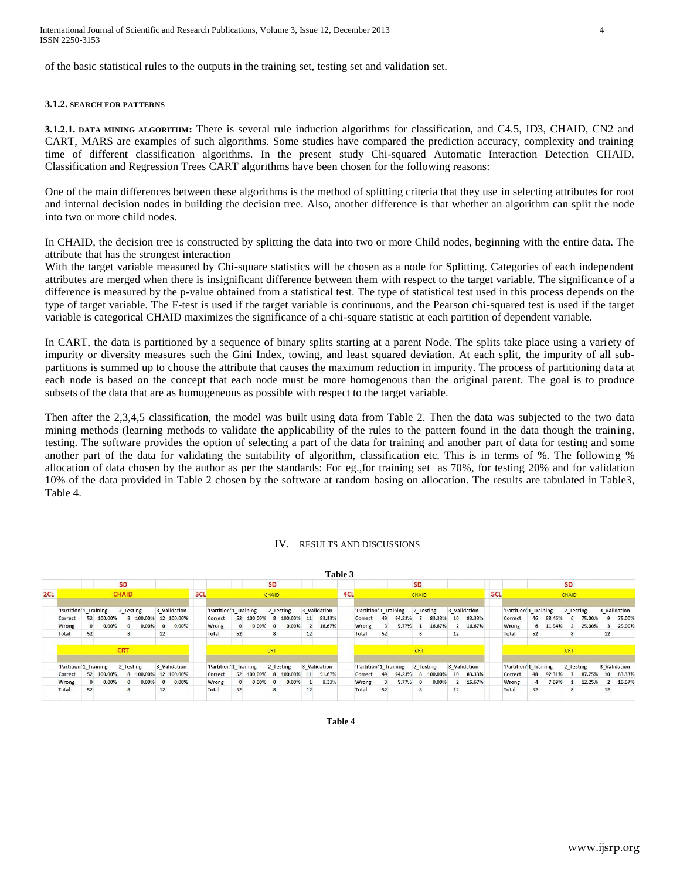of the basic statistical rules to the outputs in the training set, testing set and validation set.

## **3.1.2. SEARCH FOR PATTERNS**

**3.1.2.1. DATA MINING ALGORITHM:** There is several rule induction algorithms for classification, and C4.5, ID3, CHAID, CN2 and CART, MARS are examples of such algorithms. Some studies have compared the prediction accuracy, complexity and training time of different classification algorithms. In the present study Chi-squared Automatic Interaction Detection CHAID, Classification and Regression Trees CART algorithms have been chosen for the following reasons:

One of the main differences between these algorithms is the method of splitting criteria that they use in selecting attributes for root and internal decision nodes in building the decision tree. Also, another difference is that whether an algorithm can split the node into two or more child nodes.

In CHAID, the decision tree is constructed by splitting the data into two or more Child nodes, beginning with the entire data. The attribute that has the strongest interaction

With the target variable measured by Chi-square statistics will be chosen as a node for Splitting. Categories of each independent attributes are merged when there is insignificant difference between them with respect to the target variable. The significance of a difference is measured by the p-value obtained from a statistical test. The type of statistical test used in this process depends on the type of target variable. The F-test is used if the target variable is continuous, and the Pearson chi-squared test is used if the target variable is categorical CHAID maximizes the significance of a chi-square statistic at each partition of dependent variable.

In CART, the data is partitioned by a sequence of binary splits starting at a parent Node. The splits take place using a variety of impurity or diversity measures such the Gini Index, towing, and least squared deviation. At each split, the impurity of all subpartitions is summed up to choose the attribute that causes the maximum reduction in impurity. The process of partitioning data at each node is based on the concept that each node must be more homogenous than the original parent. The goal is to produce subsets of the data that are as homogeneous as possible with respect to the target variable.

Then after the 2,3,4,5 classification, the model was built using data from Table 2. Then the data was subjected to the two data mining methods (learning methods to validate the applicability of the rules to the pattern found in the data though the training, testing. The software provides the option of selecting a part of the data for training and another part of data for testing and some another part of the data for validating the suitability of algorithm, classification etc. This is in terms of %. The following % allocation of data chosen by the author as per the standards: For eg.,for training set as 70%, for testing 20% and for validation 10% of the data provided in Table 2 chosen by the software at random basing on allocation. The results are tabulated in Table3, Table 4.

## IV. RESULTS AND DISCUSSIONS

|     |                       |              |            |              |          |          |                      |     |                       |    |            |              |           |    | <b>Table 3</b> |     |                        |                         |        |            |           |                 |              |     |                       |              |          |              |        |    |              |
|-----|-----------------------|--------------|------------|--------------|----------|----------|----------------------|-----|-----------------------|----|------------|--------------|-----------|----|----------------|-----|------------------------|-------------------------|--------|------------|-----------|-----------------|--------------|-----|-----------------------|--------------|----------|--------------|--------|----|--------------|
|     |                       |              |            | SD           |          |          |                      |     |                       |    |            | <b>SD</b>    |           |    |                |     |                        |                         |        | <b>SD</b>  |           |                 |              |     |                       |              |          | <b>SD</b>    |        |    |              |
| 2CL |                       |              |            | <b>CHAID</b> |          |          |                      | 3CL |                       |    |            | CHAID        |           |    |                | 4CL |                        |                         |        | CHAID      |           |                 |              | 5CL |                       |              |          | <b>CHAID</b> |        |    |              |
|     | 'Partition'1 Training |              |            | 2 Testing    |          |          | 3 Validation         |     | 'Partition'1 Training |    |            |              | 2 Testing |    | 3 Validation   |     | 'Partition' 1 Training |                         |        |            | 2 Testing |                 | 3 Validation |     | 'Partition'1 Training |              |          | 2 Testing    |        |    | 3 Validation |
|     | Correct               |              | 52 100.00% |              |          |          | 8 100.00% 12 100.00% |     | Correct               |    | 52 100,00% |              | 8 100,00% | 11 | 83.33%         |     | Correct                | 49                      | 94,23% |            | 83.33%    | 10 <sup>1</sup> | 83.33%       |     | Correct               | 46           | 88,46%   | 6            | 75.00% | 9  | 75.00%       |
|     | Wrong                 | $\mathbf{0}$ | 0.00%      |              | 0.00%    | $\Omega$ | $0.00\%$             |     | Wrong                 |    | $0.00\%$   | $\mathbf{0}$ | 0.00%     |    | 16.67%         |     | Wrong                  | $\mathbf{R}$            | 5.77%  |            | 16.67%    |                 | 16.67%       |     | Wrong                 |              | 6 11.54% |              | 25.00% | з. | 25.00%       |
|     | Total                 | 52           |            |              |          | 12       |                      |     | Total                 | 52 |            | 8            |           | 12 |                |     | Total                  | 52                      |        | 8          |           | 12              |              |     | Total                 | 52           |          | 8            |        | 12 |              |
|     |                       |              |            | <b>CRT</b>   |          |          |                      |     |                       |    |            | <b>CRT</b>   |           |    |                |     |                        |                         |        | <b>CRT</b> |           |                 |              |     |                       |              |          | <b>CRT</b>   |        |    |              |
|     | 'Partition'1 Training |              |            | 2 Testing    |          |          | 3 Validation         |     | 'Partition'1 Training |    |            |              | 2 Testing |    | 3 Validation   |     | 'Partition'1 Training  |                         |        |            | 2 Testing |                 | 3 Validation |     | 'Partition'1 Training |              |          | 2 Testing    |        |    | 3 Validation |
|     | Correct               |              | 52 100,00% |              |          |          | 8 100.00% 12 100.00% |     | <b>Correct</b>        |    | 52 100,00% | $\mathbf{8}$ | 100,00%   | 11 | 91.67%         |     | Correct                | 49                      | 94.23% | 8          | 100.00%   | 10 <sup>1</sup> | 83.33%       |     | Correct               | 48           | 92.31%   |              | 87.75% | 10 | 83.33%       |
|     | Wrong                 | $\mathbf{0}$ | $0.00\%$   |              | $0.00\%$ | $\Omega$ | $0.00\%$             |     | Wrong                 |    | $0.00\%$   | $\mathbf{0}$ | $0.00\%$  |    | 8.33%          |     | Wrong                  | $\overline{\mathbf{3}}$ | 5.77%  |            | 0.00%     |                 | 16.67%       |     | Wrong                 | $\mathbf{a}$ | 7.69%    |              | 12.25% |    | 16.67%       |
|     | Total                 | 52           |            |              |          | 12       |                      |     | Total                 | 52 |            | 8            |           | 12 |                |     | Total                  | 52                      |        | 8          |           | 12              |              |     | Total                 | 52           |          | 8            |        | 12 |              |

www.ijsrp.org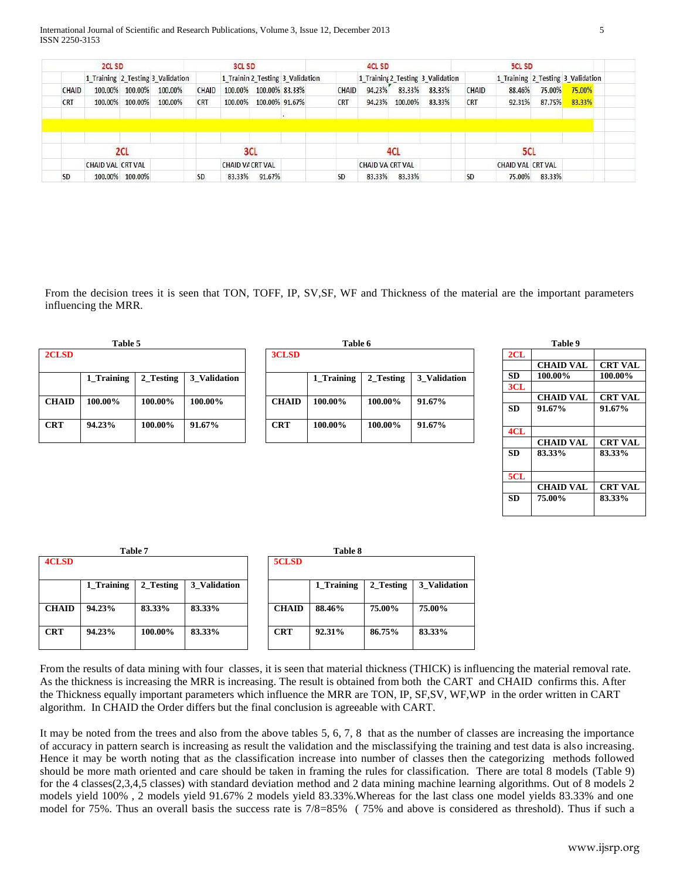International Journal of Scientific and Research Publications, Volume 3, Issue 12, December 2013 5 ISSN 2250-3153

|            | 2CL SD                   |                 |                                   |            | <b>3CL SD</b>          |                        |                                  |            | <b>4CL SD</b>           |         |                                   |            | <b>5CL SD</b>            |        |                                   |
|------------|--------------------------|-----------------|-----------------------------------|------------|------------------------|------------------------|----------------------------------|------------|-------------------------|---------|-----------------------------------|------------|--------------------------|--------|-----------------------------------|
|            |                          |                 | 1 Training 2 Testing 3 Validation |            |                        |                        | 1 Trainin 2 Testing 3 Validation |            |                         |         | 1 Training 2 Testing 3 Validation |            |                          |        | 1 Training 2 Testing 3 Validation |
| CHAID      |                          | 100.00% 100.00% | 100.00%                           | CHAID      |                        | 100.00% 100.00% 83.33% |                                  | CHAID      | 94.23%                  | 83.33%  | 83.33%                            | CHAID      | 88.46%                   | 75.00% | 75.00%                            |
| <b>CRT</b> |                          | 100.00% 100.00% | 100.00%                           | <b>CRT</b> | 100.00%                | 100.00% 91.67%         |                                  | <b>CRT</b> | 94.23%                  | 100.00% | 83.33%                            | <b>CRT</b> | 92.31%                   | 87.75% | 83.33%                            |
|            |                          |                 |                                   |            |                        |                        |                                  |            |                         |         |                                   |            |                          |        |                                   |
|            |                          |                 |                                   |            |                        |                        |                                  |            |                         |         |                                   |            |                          |        |                                   |
|            |                          |                 |                                   |            |                        |                        |                                  |            |                         |         |                                   |            |                          |        |                                   |
|            |                          | 2CL             |                                   |            | 3CL                    |                        |                                  |            |                         | 4CL     |                                   |            | 5CL                      |        |                                   |
|            | <b>CHAID VAL CRT VAL</b> |                 |                                   |            | <b>CHAID VACRT VAL</b> |                        |                                  |            | <b>CHAID VA CRT VAL</b> |         |                                   |            | <b>CHAID VAL CRT VAL</b> |        |                                   |
|            |                          | 100.00% 100.00% |                                   | SD.        | 83.33%                 | 91.67%                 |                                  | <b>SD</b>  | 83.33%                  | 83.33%  |                                   | <b>SD</b>  | 75.00%                   | 83.33% |                                   |

From the decision trees it is seen that TON, TOFF, IP, SV,SF, WF and Thickness of the material are the important parameters influencing the MRR.

| Table 5 |              |            |           |              |              | Table 6    |           |              |           | Table 9         |
|---------|--------------|------------|-----------|--------------|--------------|------------|-----------|--------------|-----------|-----------------|
|         | 2CLSD        |            |           |              | 3CLSD        |            |           |              | 2CL       |                 |
|         |              |            |           |              |              |            |           |              |           | <b>CHAID VA</b> |
|         |              | 1 Training | 2 Testing | 3 Validation |              | 1 Training | 2 Testing | 3 Validation | <b>SD</b> | 100.00%         |
|         |              |            |           |              |              |            |           |              | 3CL       |                 |
|         | <b>CHAID</b> | 100.00%    | 100.00%   | 100.00%      | <b>CHAID</b> | 100.00%    | 100.00%   | $91.67\%$    |           | <b>CHAID VA</b> |
|         |              |            |           |              |              |            |           |              | <b>SD</b> | 91.67%          |
|         |              | 94.23%     | 100.00%   | 91.67%       | <b>CRT</b>   |            | 100.00%   |              |           |                 |
|         | <b>CRT</b>   |            |           |              |              | 100.00%    |           | 91.67%       | 4CL       |                 |
|         |              |            |           |              |              |            |           |              |           |                 |

|              | .          |           |              |
|--------------|------------|-----------|--------------|
| 3CLSD        |            |           |              |
|              | 1_Training | 2_Testing | 3_Validation |
| <b>CHAID</b> | 100.00%    | 100.00%   | 91.67%       |
| <b>CRT</b>   | 100.00%    | 100.00%   | 91.67%       |

|           | Table 9          |                |
|-----------|------------------|----------------|
| 2CL       |                  |                |
|           | <b>CHAID VAL</b> | <b>CRT VAL</b> |
| <b>SD</b> | 100.00%          | 100.00%        |
| 3CL       |                  |                |
|           | <b>CHAID VAL</b> | <b>CRT VAL</b> |
| <b>SD</b> | 91.67%           | 91.67%         |
|           |                  |                |
| 4CL       |                  |                |
|           | <b>CHAID VAL</b> | <b>CRT VAL</b> |
| <b>SD</b> | 83.33%           | 83.33%         |
|           |                  |                |
| 5CL       |                  |                |
|           | <b>CHAID VAL</b> | <b>CRT VAL</b> |
| <b>SD</b> | 75.00%           | 83.33%         |
|           |                  |                |
|           |                  |                |

|              | Table 7    |           |              |              | <b>Table 8</b> |
|--------------|------------|-----------|--------------|--------------|----------------|
| <b>4CLSD</b> |            |           |              | 5CLSD        |                |
|              | 1 Training | 2 Testing | 3 Validation |              | 1 Training     |
| <b>CHAID</b> | 94.23%     | 83.33%    | 83.33%       | <b>CHAID</b> | 88.46%         |
| <b>CRT</b>   | 94.23%     | 100.00%   | 83.33%       | <b>CRT</b>   | 92.31%         |
|              |            |           |              |              |                |

| 5CLSD        |            |           |              |
|--------------|------------|-----------|--------------|
|              | 1_Training | 2_Testing | 3 Validation |
| <b>CHAID</b> | 88.46%     | 75.00%    | 75.00%       |
| <b>CRT</b>   | 92.31%     | 86.75%    | 83.33%       |

From the results of data mining with four classes, it is seen that material thickness (THICK) is influencing the material removal rate. As the thickness is increasing the MRR is increasing. The result is obtained from both the CART and CHAID confirms this. After the Thickness equally important parameters which influence the MRR are TON, IP, SF,SV, WF,WP in the order written in CART algorithm. In CHAID the Order differs but the final conclusion is agreeable with CART.

It may be noted from the trees and also from the above tables 5, 6, 7, 8 that as the number of classes are increasing the importance of accuracy in pattern search is increasing as result the validation and the misclassifying the training and test data is also increasing. Hence it may be worth noting that as the classification increase into number of classes then the categorizing methods followed should be more math oriented and care should be taken in framing the rules for classification. There are total 8 models (Table 9) for the 4 classes(2,3,4,5 classes) with standard deviation method and 2 data mining machine learning algorithms. Out of 8 models 2 models yield 100% , 2 models yield 91.67% 2 models yield 83.33%.Whereas for the last class one model yields 83.33% and one model for 75%. Thus an overall basis the success rate is 7/8=85% ( 75% and above is considered as threshold). Thus if such a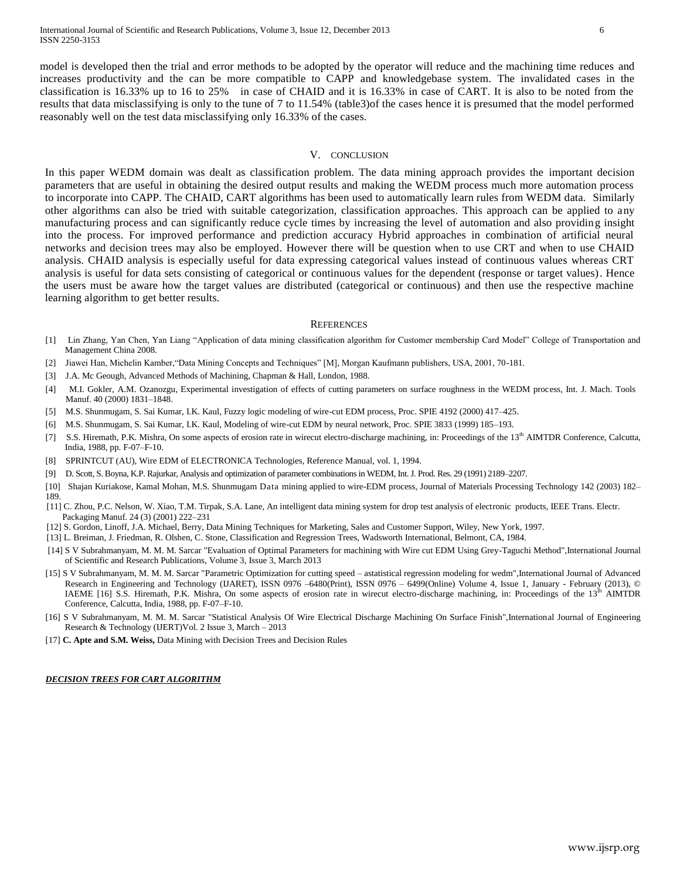model is developed then the trial and error methods to be adopted by the operator will reduce and the machining time reduces and increases productivity and the can be more compatible to CAPP and knowledgebase system. The invalidated cases in the classification is 16.33% up to 16 to 25% in case of CHAID and it is 16.33% in case of CART. It is also to be noted from the results that data misclassifying is only to the tune of 7 to 11.54% (table3)of the cases hence it is presumed that the model performed reasonably well on the test data misclassifying only 16.33% of the cases.

#### V. CONCLUSION

In this paper WEDM domain was dealt as classification problem. The data mining approach provides the important decision parameters that are useful in obtaining the desired output results and making the WEDM process much more automation process to incorporate into CAPP. The CHAID, CART algorithms has been used to automatically learn rules from WEDM data. Similarly other algorithms can also be tried with suitable categorization, classification approaches. This approach can be applied to any manufacturing process and can significantly reduce cycle times by increasing the level of automation and also providing insight into the process. For improved performance and prediction accuracy Hybrid approaches in combination of artificial neural networks and decision trees may also be employed. However there will be question when to use CRT and when to use CHAID analysis. CHAID analysis is especially useful for data expressing categorical values instead of continuous values whereas CRT analysis is useful for data sets consisting of categorical or continuous values for the dependent (response or target values). Hence the users must be aware how the target values are distributed (categorical or continuous) and then use the respective machine learning algorithm to get better results.

#### **REFERENCES**

- [1] Lin Zhang, Yan Chen, Yan Liang "Application of data mining classification algorithm for Customer membership Card Model" College of Transportation and Management China 2008.
- [2] Jiawei Han, Michelin Kamber,"Data Mining Concepts and Techniques" [M], Morgan Kaufmann publishers, USA, 2001, 70-181.
- [3] J.A. Mc Geough, Advanced Methods of Machining, Chapman & Hall, London, 1988.
- [4] M.I. Gokler, A.M. Ozanozgu, Experimental investigation of effects of cutting parameters on surface roughness in the WEDM process, Int. J. Mach. Tools Manuf. 40 (2000) 1831–1848.
- [5] M.S. Shunmugam, S. Sai Kumar, I.K. Kaul, Fuzzy logic modeling of wire-cut EDM process, Proc. SPIE 4192 (2000) 417–425.
- [6] M.S. Shunmugam, S. Sai Kumar, I.K. Kaul, Modeling of wire-cut EDM by neural network, Proc. SPIE 3833 (1999) 185–193.
- [7] S.S. Hiremath, P.K. Mishra, On some aspects of erosion rate in wirecut electro-discharge machining, in: Proceedings of the 13<sup>th</sup> AIMTDR Conference, Calcutta, India, 1988, pp. F-07–F-10.
- [8] SPRINTCUT (AU), Wire EDM of ELECTRONICA Technologies, Reference Manual, vol. 1, 1994.
- [9] D. Scott, S. Boyna, K.P. Rajurkar, Analysis and optimization of parameter combinations in WEDM, Int. J. Prod. Res. 29 (1991) 2189–2207.
- [10] Shajan Kuriakose, Kamal Mohan, M.S. Shunmugam Data mining applied to wire-EDM process, Journal of Materials Processing Technology 142 (2003) 182– 189.
- [11] C. Zhou, P.C. Nelson, W. Xiao, T.M. Tirpak, S.A. Lane, An intelligent data mining system for drop test analysis of electronic products, IEEE Trans. Electr. Packaging Manuf. 24 (3) (2001) 222–231
- [12] S. Gordon, Linoff, J.A. Michael, Berry, Data Mining Techniques for Marketing, Sales and Customer Support, Wiley, New York, 1997.
- [13] L. Breiman, J. Friedman, R. Olshen, C. Stone, Classification and Regression Trees, Wadsworth International, Belmont, CA, 1984.
- [14] S V Subrahmanyam, M. M. M. Sarcar "Evaluation of Optimal Parameters for machining with Wire cut EDM Using Grey-Taguchi Method",International Journal of Scientific and Research Publications, Volume 3, Issue 3, March 2013
- [15] S V Subrahmanyam, M. M. M. Sarcar "Parametric Optimization for cutting speed astatistical regression modeling for wedm",International Journal of Advanced Research in Engineering and Technology (IJARET), ISSN 0976 –6480(Print), ISSN 0976 – 6499(Online) Volume 4, Issue 1, January - February (2013), © IAEME [16] S.S. Hiremath, P.K. Mishra, On some aspects of erosion rate in wirecut electro-discharge machining, in: Proceedings of the 13<sup>th</sup> AIMTDR Conference, Calcutta, India, 1988, pp. F-07–F-10.
- [16] S V Subrahmanyam, M. M. M. Sarcar "Statistical Analysis Of Wire Electrical Discharge Machining On Surface Finish",International Journal of Engineering Research & Technology (IJERT)Vol. 2 Issue 3, March – 2013
- [17] **C. Apte and S.M. Weiss,** Data Mining with Decision Trees and Decision Rules

#### *DECISION TREES FOR CART ALGORITHM*